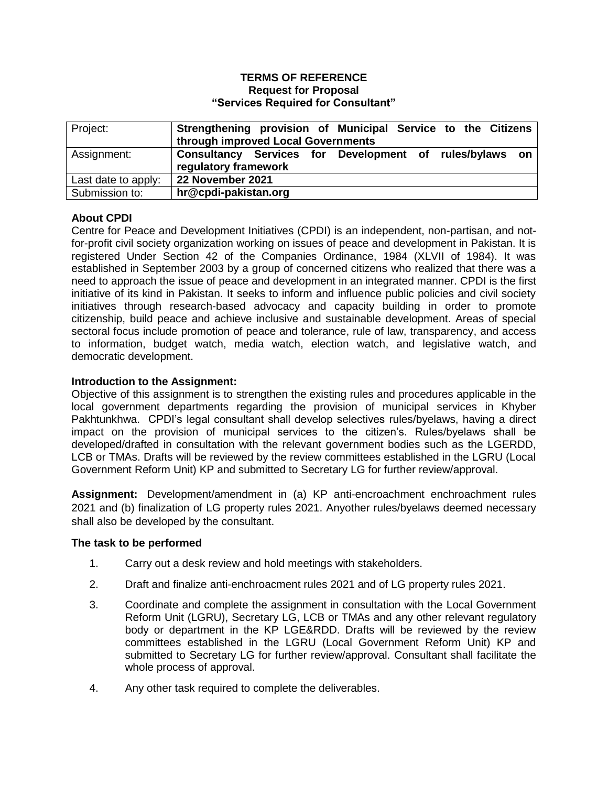### **TERMS OF REFERENCE Request for Proposal "Services Required for Consultant"**

| Project:            | Strengthening provision of Municipal Service to the Citizens<br>through improved Local Governments |
|---------------------|----------------------------------------------------------------------------------------------------|
| Assignment:         | Consultancy Services for Development of rules/bylaws on<br>regulatory framework                    |
| Last date to apply: | 22 November 2021                                                                                   |
| Submission to:      | hr@cpdi-pakistan.org                                                                               |

# **About CPDI**

Centre for Peace and Development Initiatives (CPDI) is an independent, non-partisan, and notfor-profit civil society organization working on issues of peace and development in Pakistan. It is registered Under Section 42 of the Companies Ordinance, 1984 (XLVII of 1984). It was established in September 2003 by a group of concerned citizens who realized that there was a need to approach the issue of peace and development in an integrated manner. CPDI is the first initiative of its kind in Pakistan. It seeks to inform and influence public policies and civil society initiatives through research-based advocacy and capacity building in order to promote citizenship, build peace and achieve inclusive and sustainable development. Areas of special sectoral focus include promotion of peace and tolerance, rule of law, transparency, and access to information, budget watch, media watch, election watch, and legislative watch, and democratic development.

# **Introduction to the Assignment:**

Objective of this assignment is to strengthen the existing rules and procedures applicable in the local government departments regarding the provision of municipal services in Khyber Pakhtunkhwa. CPDI's legal consultant shall develop selectives rules/byelaws, having a direct impact on the provision of municipal services to the citizen's. Rules/byelaws shall be developed/drafted in consultation with the relevant government bodies such as the LGERDD, LCB or TMAs. Drafts will be reviewed by the review committees established in the LGRU (Local Government Reform Unit) KP and submitted to Secretary LG for further review/approval.

**Assignment:** Development/amendment in (a) KP anti-encroachment enchroachment rules 2021 and (b) finalization of LG property rules 2021. Anyother rules/byelaws deemed necessary shall also be developed by the consultant.

# **The task to be performed**

- 1. Carry out a desk review and hold meetings with stakeholders.
- 2. Draft and finalize anti-enchroacment rules 2021 and of LG property rules 2021.
- 3. Coordinate and complete the assignment in consultation with the Local Government Reform Unit (LGRU), Secretary LG, LCB or TMAs and any other relevant regulatory body or department in the KP LGE&RDD. Drafts will be reviewed by the review committees established in the LGRU (Local Government Reform Unit) KP and submitted to Secretary LG for further review/approval. Consultant shall facilitate the whole process of approval.
- 4. Any other task required to complete the deliverables.